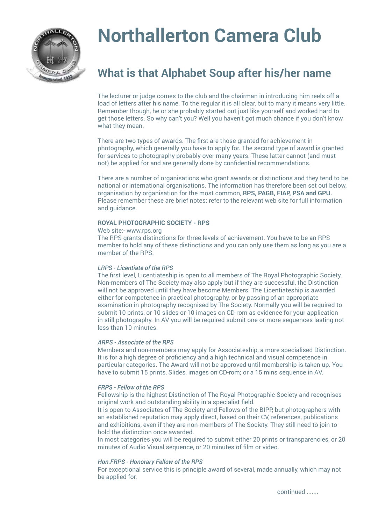

# **Northallerton Camera Club**

# **What is that Alphabet Soup after his/her name**

The lecturer or judge comes to the club and the chairman in introducing him reels off a load of letters after his name. To the regular it is all clear, but to many it means very little. Remember though, he or she probably started out just like yourself and worked hard to get those letters. So why can't you? Well you haven't got much chance if you don't know what they mean.

There are two types of awards. The first are those granted for achievement in photography, which generally you have to apply for. The second type of award is granted for services to photography probably over many years. These latter cannot (and must not) be applied for and are generally done by confidential recommendations.

There are a number of organisations who grant awards or distinctions and they tend to be national or international organisations. The information has therefore been set out below, organisation by organisation for the most common, **RPS, PAGB, FIAP, PSA and GPU.**  Please remember these are brief notes; refer to the relevant web site for full information and guidance.

### **ROYAL PHOTOGRAPHIC SOCIETY - RPS**

Web site:- www.rps.org

The RPS grants distinctions for three levels of achievement. You have to be an RPS member to hold any of these distinctions and you can only use them as long as you are a member of the RPS.

# *LRPS - Licentiate of the RPS*

The first level, Licentiateship is open to all members of The Royal Photographic Society. Non-members of The Society may also apply but if they are successful, the Distinction will not be approved until they have become Members. The Licentiateship is awarded either for competence in practical photography, or by passing of an appropriate examination in photography recognised by The Society. Normally you will be required to submit 10 prints, or 10 slides or 10 images on CD-rom as evidence for your application in still photography. In AV you will be required submit one or more sequences lasting not less than 10 minutes.

# *ARPS - Associate of the RPS*

Members and non-members may apply for Associateship, a more specialised Distinction. It is for a high degree of proficiency and a high technical and visual competence in particular categories. The Award will not be approved until membership is taken up. You have to submit 15 prints, Slides, images on CD-rom; or a 15 mins sequence in AV.

# *FRPS - Fellow of the RPS*

Fellowship is the highest Distinction of The Royal Photographic Society and recognises original work and outstanding ability in a specialist field.

It is open to Associates of The Society and Fellows of the BIPP, but photographers with an established reputation may apply direct, based on their CV, references, publications and exhibitions, even if they are non-members of The Society. They still need to join to hold the distinction once awarded.

In most categories you will be required to submit either 20 prints or transparencies, or 20 minutes of Audio Visual sequence, or 20 minutes of film or video.

# *Hon.FRPS - Honorary Fellow of the RPS*

For exceptional service this is principle award of several, made annually, which may not be applied for.

continued .......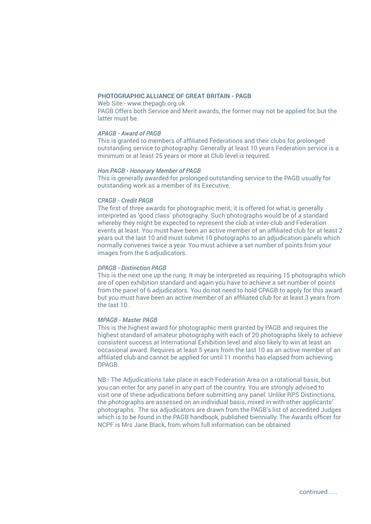# **PHOTOGRAPHIC ALLIANCE OF GREAT BRITAIN - PAGB**

Web Site:- www.thepagb.org.uk PAGB Offers both Service and Merit awards, the former may not be applied for, but the latter must be.

# *APAGB - Award of PAGB*

This is granted to members of affiliated Federations and their clubs for prolonged outstanding service to photography. Generally at least 10 years Federation service is a minimum or at least 25 years or more at Club level is required.

#### *Hon.PAGB - Honorary Member of PAGB*

This is generally awarded for prolonged outstanding service to the PAGB usually for outstanding work as a member of its Executive.

# *CPAGB - Credit PAGB*

The first of three awards for photographic merit; it is offered for what is generally interpreted as 'good class' photography. Such photographs would be of a standard whereby they might be expected to represent the club at inter-club and Federation events at least. You must have been an active member of an affiliated club for at least 2 years out the last 10 and must submit 10 photographs to an adjudication panels which normally convenes twice a year. You must achieve a set number of points from your images from the 6 adjudicators.

### *DPAGB - Distinction PAGB*

This is the next one up the rung. It may be interpreted as requiring 15 photographs which are of open exhibition standard and again you have to achieve a set number of points from the panel of 6 adjudicators. You do not need to hold CPAGB to apply for this award but you must have been an active member of an affiliated club for at least 3 years from the last 10.

# *MPAGB - Master PAGB*

This is the highest award for photographic merit granted by PAGB and requires the highest standard of amateur photography with each of 20 photographs likely to achieve consistent success at International Exhibition level and also likely to win at least an occasional award. Requires at least 5 years from the last 10 as an active member of an affiliated club and cannot be applied for until 11 months has elapsed from achieving DPAGB.

NB:- The Adjudications take place in each Federation Area on a rotational basis, but you can enter for any panel in any part of the country. You are strongly advised to visit one of these adjudications before submitting any panel. Unlike RPS Distinctions, the photographs are assessed on an individual basis, mixed in with other applicants' photographs. The six adjudicators are drawn from the PAGB's list of accredited Judges which is to be found in the PAGB handbook, published biennially. The Awards officer for NCPF is Mrs Jane Black, from whom full information can be obtained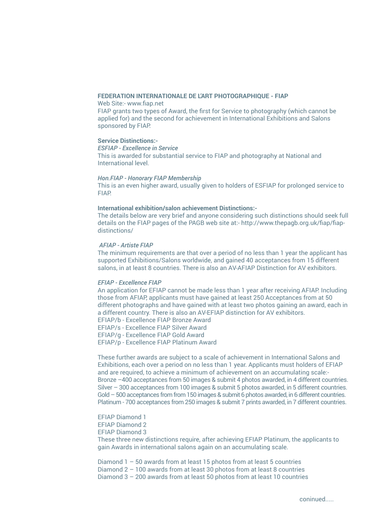#### **FEDERATION INTERNATIONALE DE L'ART PHOTOGRAPHIQUE - FIAP**

Web Site:- www.fiap.net

FIAP grants two types of Award, the first for Service to photography (which cannot be applied for) and the second for achievement in International Exhibitions and Salons sponsored by FIAP.

# **Service Distinctions:-**

*ESFIAP - Excellence in Service*

This is awarded for substantial service to FIAP and photography at National and International level.

#### *Hon.FIAP - Honorary FIAP Membership*

This is an even higher award, usually given to holders of ESFIAP for prolonged service to FIAP.

# **International exhibition/salon achievement Distinctions:-**

The details below are very brief and anyone considering such distinctions should seek full details on the FIAP pages of the PAGB web site at:- http://www.thepagb.org.uk/fiap/fiapdistinctions/

# *AFIAP - Artiste FIAP*

The minimum requirements are that over a period of no less than 1 year the applicant has supported Exhibitions/Salons worldwide, and gained 40 acceptances from 15 different salons, in at least 8 countries. There is also an AV-AFIAP Distinction for AV exhibitors.

# *EFIAP - Excellence FIAP*

An application for EFIAP cannot be made less than 1 year after receiving AFIAP. Including those from AFIAP, applicants must have gained at least 250 Acceptances from at 50 different photographs and have gained with at least two photos gaining an award, each in a different country. There is also an AV-EFIAP distinction for AV exhibitors. EFIAP/b - Excellence FIAP Bronze Award EFIAP/s - Excellence FIAP Silver Award EFIAP/g - Excellence FIAP Gold Award

EFIAP/p - Excellence FIAP Platinum Award

These further awards are subject to a scale of achievement in International Salons and Exhibitions, each over a period on no less than 1 year. Applicants must holders of EFIAP and are required, to achieve a minimum of achievement on an accumulating scale:- Bronze –400 acceptances from 50 images & submit 4 photos awarded, in 4 different countries. Silver – 300 acceptances from 100 images & submit 5 photos awarded, in 5 different countries. Gold – 500 acceptances from from 150 images & submit 6 photos awarded, in 6 different countries. Platinum - 700 acceptances from 250 images & submit 7 prints awarded, in 7 different countries.

EFIAP Diamond 1 EFIAP Diamond 2 EFIAP Diamond 3

These three new distinctions require, after achieving EFIAP Platinum, the applicants to gain Awards in international salons again on an accumulating scale.

Diamond 1 – 50 awards from at least 15 photos from at least 5 countries Diamond 2 – 100 awards from at least 30 photos from at least 8 countries Diamond 3 – 200 awards from at least 50 photos from at least 10 countries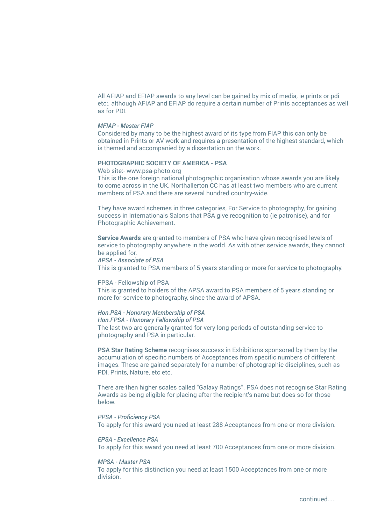All AFIAP and EFIAP awards to any level can be gained by mix of media, ie prints or pdi etc;. although AFIAP and EFIAP do require a certain number of Prints acceptances as well as for PDI.

#### *MFIAP - Master FIAP*

Considered by many to be the highest award of its type from FIAP this can only be obtained in Prints or AV work and requires a presentation of the highest standard, which is themed and accompanied by a dissertation on the work.

# **PHOTOGRAPHIC SOCIETY OF AMERICA - PSA**

Web site:- www.psa-photo.org

This is the one foreign national photographic organisation whose awards you are likely to come across in the UK. Northallerton CC has at least two members who are current members of PSA and there are several hundred country-wide.

They have award schemes in three categories, For Service to photography, for gaining success in Internationals Salons that PSA give recognition to (ie patronise), and for Photographic Achievement.

**Service Awards** are granted to members of PSA who have given recognised levels of service to photography anywhere in the world. As with other service awards, they cannot be applied for.

#### *APSA - Associate of PSA*

This is granted to PSA members of 5 years standing or more for service to photography.

#### FPSA - Fellowship of PSA

This is granted to holders of the APSA award to PSA members of 5 years standing or more for service to photography, since the award of APSA.

#### *Hon.PSA - Honorary Membership of PSA*

*Hon.FPSA - Honorary Fellowship of PSA* The last two are generally granted for very long periods of outstanding service to photography and PSA in particular.

**PSA Star Rating Scheme** recognises success in Exhibitions sponsored by them by the accumulation of specific numbers of Acceptances from specific numbers of different images. These are gained separately for a number of photographic disciplines, such as PDI, Prints, Nature, etc etc.

There are then higher scales called "Galaxy Ratings". PSA does not recognise Star Rating Awards as being eligible for placing after the recipient's name but does so for those below.

#### *PPSA - Proficiency PSA*

To apply for this award you need at least 288 Acceptances from one or more division.

# *EPSA - Excellence PSA*

To apply for this award you need at least 700 Acceptances from one or more division.

#### *MPSA - Master PSA*

To apply for this distinction you need at least 1500 Acceptances from one or more division.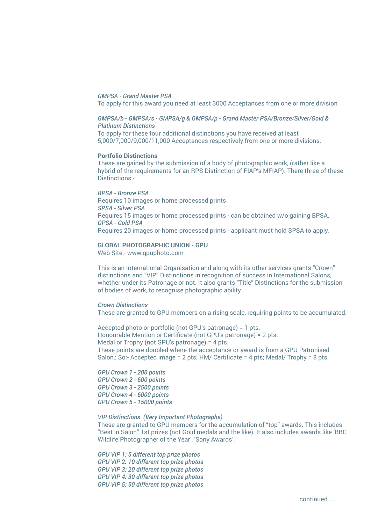#### *GMPSA - Grand Master PSA*

To apply for this award you need at least 3000 Acceptances from one or more division

#### *GMPSA/b - GMPSA/s - GMPSA/g & GMPSA/p - Grand Master PSA/Bronze/Silver/Gold & Platinum Distinctions*

To apply for these four additional distinctions you have received at least 5,000/7,000/9,000/11,000 Acceptances respectively from one or more divisions.

#### **Portfolio Distinctions**

These are gained by the submission of a body of photographic work, (rather like a hybrid of the requirements for an RPS Distinction of FIAP's MFIAP). There three of these Distinctions:-

#### *BPSA - Bronze PSA*

Requires 10 images or home processed prints *SPSA - Silver PSA* Requires 15 images or home processed prints - can be obtained w/o gaining BPSA. *GPSA - Gold PSA* Requires 20 images or home processed prints - applicant must hold SPSA to apply.

#### **GLOBAL PHOTOGRAPHIC UNION - GPU**

Web Site:- www.gpuphoto.com

This is an International Organisation and along with its other services grants "Crown" distinctions and "VIP" Distinctions in recognition of success in International Salons, whether under its Patronage or not. It also grants "Title" Distinctions for the submission of bodies of work, to recognise photographic ability.

#### *Crown Distinctions*

These are granted to GPU members on a rising scale, requiring points to be accumulated.

Accepted photo or portfolio (not GPU's patronage) = 1 pts. Honourable Mention or Certificate (not GPU's patronage) = 2 pts. Medal or Trophy (not GPU's patronage) = 4 pts. These points are doubled where the acceptance or award is from a GPU Patronised Salon,: So:- Accepted image = 2 pts; HM/ Certificate = 4 pts; Medal/ Trophy = 8 pts.

*GPU Crown 1 - 200 points GPU Crown 2 - 600 points GPU Crown 3 - 2500 points GPU Crown 4 - 6000 points GPU Crown 5 - 15000 points*

#### *VIP Distinctions (Very Important Photographs)*

These are granted to GPU members for the accumulation of "top" awards. This includes "Best in Salon" 1st prizes (not Gold medals and the like). It also includes awards like 'BBC Wildlife Photographer of the Year', 'Sony Awards'.

*GPU VIP 1: 5 different top prize photos GPU VIP 2: 10 different top prize photos GPU VIP 3: 20 different top prize photos GPU VIP 4: 30 different top prize photos GPU VIP 5: 50 different top prize photos*